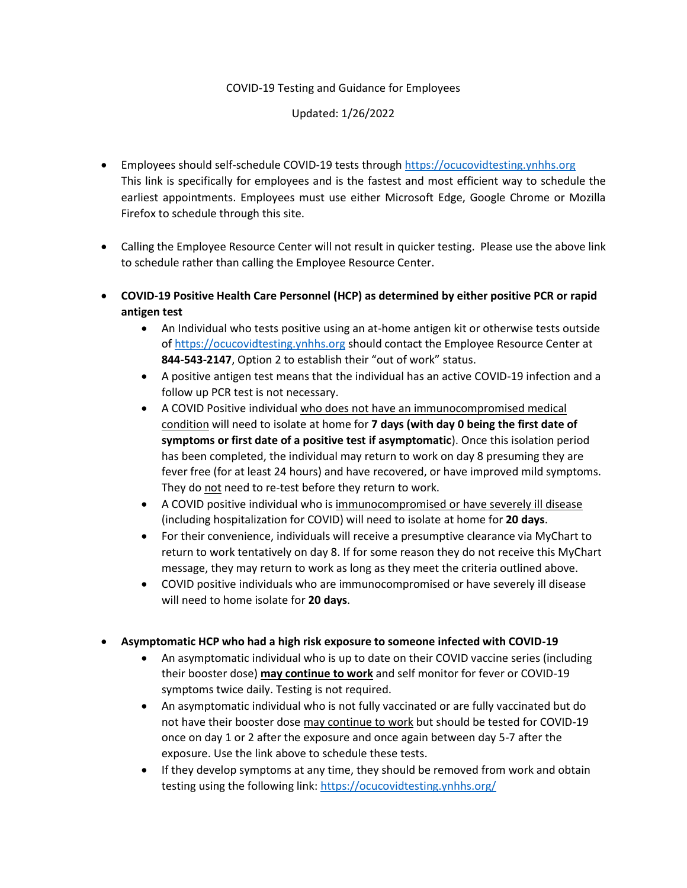## COVID-19 Testing and Guidance for Employees

## Updated: 1/26/2022

- Employees should self-schedule COVID-19 tests through [https://ocucovidtesting.ynhhs.org](https://ocucovidtesting.ynhhs.org/) This link is specifically for employees and is the fastest and most efficient way to schedule the earliest appointments. Employees must use either Microsoft Edge, Google Chrome or Mozilla Firefox to schedule through this site.
- Calling the Employee Resource Center will not result in quicker testing. Please use the above link to schedule rather than calling the Employee Resource Center.
- **COVID-19 Positive Health Care Personnel (HCP) as determined by either positive PCR or rapid antigen test** 
	- An Individual who tests positive using an at-home antigen kit or otherwise tests outside o[f https://ocucovidtesting.ynhhs.org](https://ocucovidtesting.ynhhs.org/) should contact the Employee Resource Center at **844-543-2147**, Option 2 to establish their "out of work" status.
	- A positive antigen test means that the individual has an active COVID-19 infection and a follow up PCR test is not necessary.
	- A COVID Positive individual who does not have an immunocompromised medical condition will need to isolate at home for **7 days (with day 0 being the first date of symptoms or first date of a positive test if asymptomatic**). Once this isolation period has been completed, the individual may return to work on day 8 presuming they are fever free (for at least 24 hours) and have recovered, or have improved mild symptoms. They do not need to re-test before they return to work.
	- A COVID positive individual who is immunocompromised or have severely ill disease (including hospitalization for COVID) will need to isolate at home for **20 days**.
	- For their convenience, individuals will receive a presumptive clearance via MyChart to return to work tentatively on day 8. If for some reason they do not receive this MyChart message, they may return to work as long as they meet the criteria outlined above.
	- COVID positive individuals who are immunocompromised or have severely ill disease will need to home isolate for **20 days**.

## **Asymptomatic HCP who had a high risk exposure to someone infected with COVID-19**

- An asymptomatic individual who is up to date on their COVID vaccine series (including their booster dose) **may continue to work** and self monitor for fever or COVID-19 symptoms twice daily. Testing is not required.
- An asymptomatic individual who is not fully vaccinated or are fully vaccinated but do not have their booster dose may continue to work but should be tested for COVID-19 once on day 1 or 2 after the exposure and once again between day 5-7 after the exposure. Use the link above to schedule these tests.
- If they develop symptoms at any time, they should be removed from work and obtain testing using the following link[: https://ocucovidtesting.ynhhs.org/](https://ocucovidtesting.ynhhs.org/)